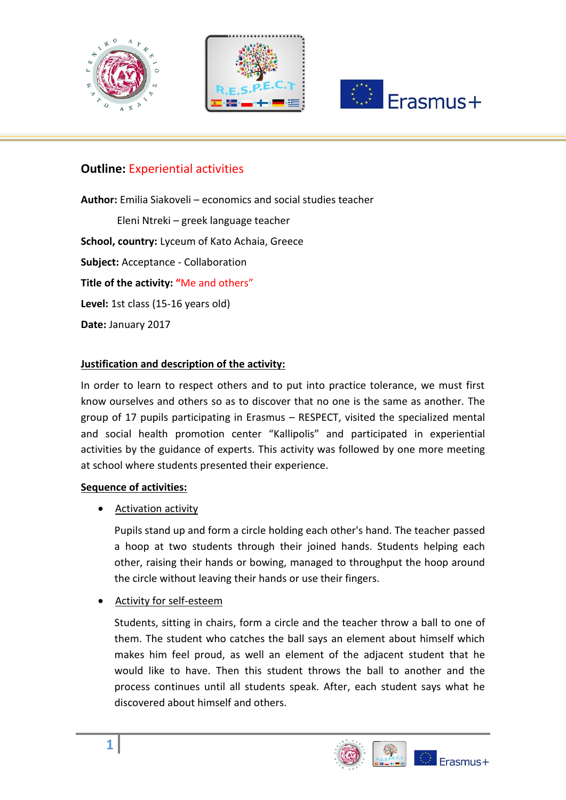





#### **Outline:** Εxperiential activities

**Author:** Emilia Siakoveli – economics and social studies teacher Eleni Ntreki – greek language teacher **School, country:** Lyceum of Kato Achaia, Greece **Subject:** Acceptance - Collaboration **Title of the activity: "**Me and others" **Level:** 1st class (15-16 years old) **Date:** January 2017

#### **Justification and description of the activity:**

In order to learn to respect others and to put into practice tolerance, we must first know ourselves and others so as to discover that no one is the same as another. The group of 17 pupils participating in Erasmus – RESPECT, visited the specialized mental and social health promotion center "Kallipolis" and participated in experiential activities by the guidance of experts. This activity was followed by one more meeting at school where students presented their experience.

#### **Sequence of activities:**

Activation activity

Pupils stand up and form a circle holding each other's hand. The teacher passed a hoop at two students through their joined hands. Students helping each other, raising their hands or bowing, managed to throughput the hoop around the circle without leaving their hands or use their fingers.

Activity for self-esteem

Students, sitting in chairs, form a circle and the teacher throw a ball to one of them. The student who catches the ball says an element about himself which makes him feel proud, as well an element of the adjacent student that he would like to have. Then this student throws the ball to another and the process continues until all students speak. After, each student says what he discovered about himself and others.

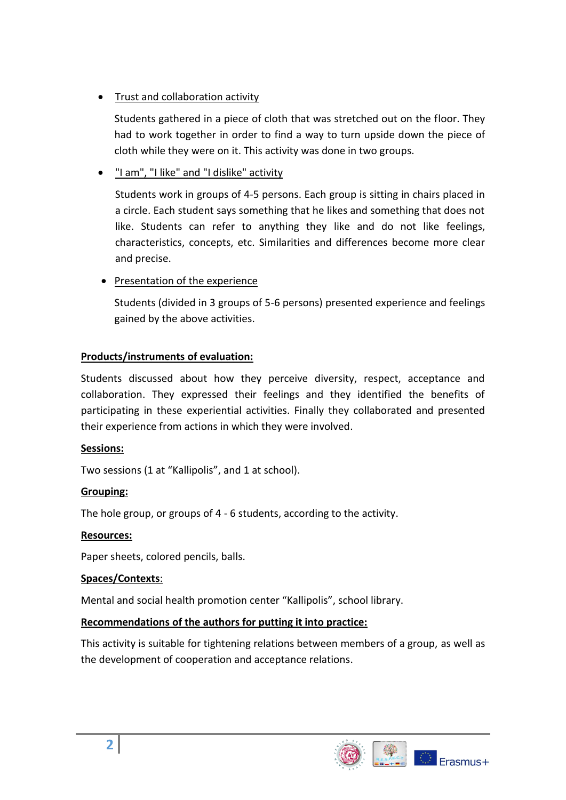# • Trust and collaboration activity

Students gathered in a piece of cloth that was stretched out on the floor. They had to work together in order to find a way to turn upside down the piece of cloth while they were on it. This activity was done in two groups.

# "I am", "I like" and "I dislike" activity

Students work in groups of 4-5 persons. Each group is sitting in chairs placed in a circle. Each student says something that he likes and something that does not like. Students can refer to anything they like and do not like feelings, characteristics, concepts, etc. Similarities and differences become more clear and precise.

• Presentation of the experience

Students (divided in 3 groups of 5-6 persons) presented experience and feelings gained by the above activities.

# **Products/instruments of evaluation:**

Students discussed about how they perceive diversity, respect, acceptance and collaboration. They expressed their feelings and they identified the benefits of participating in these experiential activities. Finally they collaborated and presented their experience from actions in which they were involved.

## **Sessions:**

Two sessions (1 at "Kallipolis", and 1 at school).

## **Grouping:**

The hole group, or groups of 4 - 6 students, according to the activity.

#### **Resources:**

Paper sheets, colored pencils, balls.

#### **Spaces/Contexts**:

Mental and social health promotion center "Kallipolis", school library.

## **Recommendations of the authors for putting it into practice:**

This activity is suitable for tightening relations between members of a group, as well as the development of cooperation and acceptance relations.